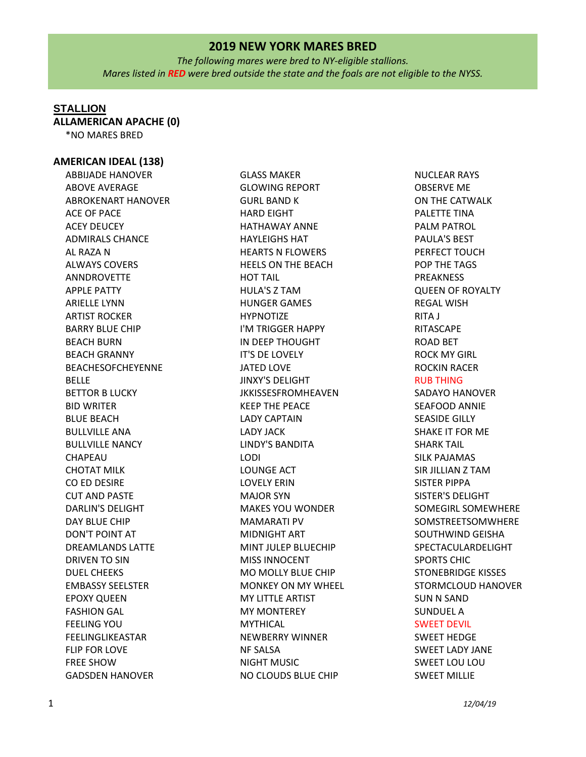*The following mares were bred to NY-eligible stallions. Mares listed in RED were bred outside the state and the foals are not eligible to the NYSS.*

### **STALLION**

**ALLAMERICAN APACHE (0)**

\*NO MARES BRED

#### **AMERICAN IDEAL (138)**

ABBIJADE HANOVER ABOVE AVERAGE ABROKENART HANOVER ACE OF PACE ACEY DEUCEY ADMIRALS CHANCE AL RAZA N ALWAYS COVERS ANNDROVETTE APPLE PATTY ARIELLE LYNN ARTIST ROCKER BARRY BLUE CHIP BEACH BURN BEACH GRANNY BEACHESOFCHEYENNE BELLE BETTOR B LUCKY BID WRITER BLUE BEACH BULLVILLE ANA BULLVILLE NANCY CHAPEAU CHOTAT MILK CO ED DESIRE CUT AND PASTE DARLIN'S DELIGHT DAY BLUE CHIP DON'T POINT AT DREAMLANDS LATTE DRIVEN TO SIN DUEL CHEEKS EMBASSY SEELSTER EPOXY QUEEN FASHION GAL FEELING YOU FEELINGLIKEASTAR FLIP FOR LOVE FREE SHOW GADSDEN HANOVER

GLASS MAKER GLOWING REPORT GURL BAND K HARD EIGHT HATHAWAY ANNE HAYLEIGHS HAT HEARTS N FLOWERS HEELS ON THE BEACH HOT TAIL HULA'S Z TAM HUNGER GAMES HYPNOTIZE I'M TRIGGER HAPPY IN DEEP THOUGHT IT'S DE LOVELY JATED LOVE JINXY'S DELIGHT JKKISSESFROMHEAVEN KEEP THE PEACE LADY CAPTAIN LADY JACK LINDY'S BANDITA LODI LOUNGE ACT LOVELY ERIN MAJOR SYN MAKES YOU WONDER MAMARATI PV MIDNIGHT ART MINT JULEP BLUECHIP MISS INNOCENT MO MOLLY BLUE CHIP MONKEY ON MY WHEEL MY LITTLE ARTIST MY MONTEREY **MYTHICAL** NEWBERRY WINNER NF SALSA NIGHT MUSIC NO CLOUDS BLUE CHIP

NUCLEAR RAYS OBSERVE ME ON THE CATWALK PALETTE TINA PALM PATROL PAULA'S BEST PERFECT TOUCH POP THE TAGS PREAKNESS QUEEN OF ROYALTY REGAL WISH RITA J RITASCAPE ROAD BET ROCK MY GIRL ROCKIN RACER RUB THING SADAYO HANOVER SEAFOOD ANNIE SEASIDE GILLY SHAKE IT FOR ME SHARK TAIL SILK PAJAMAS SIR JILLIAN Z TAM SISTER PIPPA SISTER'S DELIGHT SOMEGIRL SOMEWHERE SOMSTREETSOMWHERE SOUTHWIND GEISHA SPECTACULARDELIGHT SPORTS CHIC STONEBRIDGE KISSES STORMCLOUD HANOVER SUN N SAND SUNDUEL A SWEET DEVIL SWEET HEDGE SWEET LADY JANE SWEET LOU LOU

SWEET MILLIE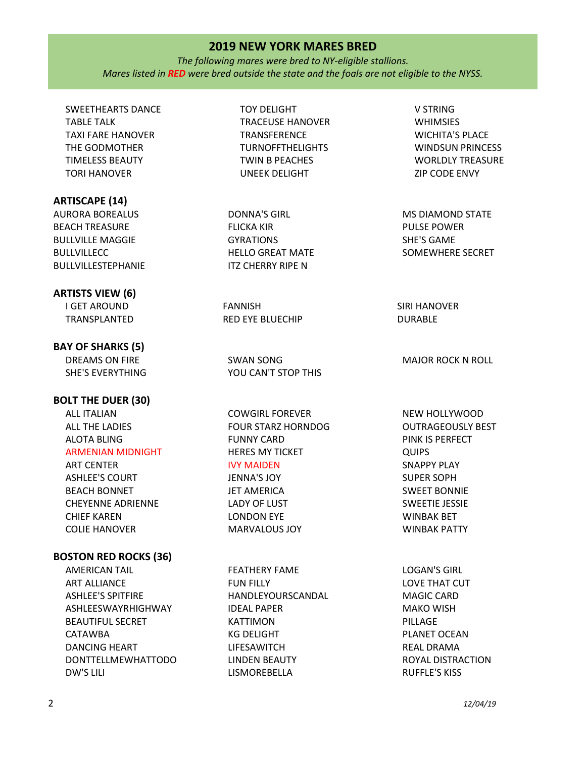*The following mares were bred to NY-eligible stallions. Mares listed in RED were bred outside the state and the foals are not eligible to the NYSS.*

SWEETHEARTS DANCE TABLE TALK TAXI FARE HANOVER THE GODMOTHER TIMELESS BEAUTY TORI HANOVER

#### **ARTISCAPE (14)**

AURORA BOREALUS BEACH TREASURE BULLVILLE MAGGIE BULLVILLECC BULLVILLESTEPHANIE

#### **ARTISTS VIEW (6)**

I GET AROUND TRANSPLANTED

# **BAY OF SHARKS (5)**

DREAMS ON FIRE SHE'S EVERYTHING

**BOLT THE DUER (30)**

ALL ITALIAN ALL THE LADIES ALOTA BLING ARMENIAN MIDNIGHT

ART CENTER ASHLEE'S COURT BEACH BONNET CHEYENNE ADRIENNE CHIEF KAREN COLIE HANOVER

#### **BOSTON RED ROCKS (36)**

AMERICAN TAIL ART ALLIANCE ASHLEE'S SPITFIRE ASHLEESWAYRHIGHWAY BEAUTIFUL SECRET CATAWBA DANCING HEART DONTTELLMEWHATTODO DW'S LILI

TOY DELIGHT TRACEUSE HANOVER TRANSFERENCE TURNOFFTHELIGHTS TWIN B PEACHES UNEEK DELIGHT

DONNA'S GIRL FLICKA KIR GYRATIONS HELLO GREAT MATE ITZ CHERRY RIPE N

FANNISH RED EYE BLUECHIP

SWAN SONG YOU CAN'T STOP THIS

COWGIRL FOREVER FOUR STARZ HORNDOG FUNNY CARD HERES MY TICKET IVY MAIDEN JENNA'S JOY JET AMERICA

LADY OF LUST LONDON EYE MARVALOUS JOY

FEATHERY FAME FUN FILLY HANDLEYOURSCANDAL IDEAL PAPER KATTIMON KG DELIGHT LIFESAWITCH LINDEN BEAUTY LISMOREBELLA

V STRING WHIMSIES WICHITA'S PLACE WINDSUN PRINCESS WORLDLY TREASURE ZIP CODE ENVY

MS DIAMOND STATE PULSE POWER SHE'S GAME SOMEWHERE SECRET

SIRI HANOVER DURABLE

MAJOR ROCK N ROLL

NEW HOLLYWOOD OUTRAGEOUSLY BEST PINK IS PERFECT QUIPS SNAPPY PLAY SUPER SOPH SWEET BONNIE SWEETIE JESSIE WINBAK BET WINBAK PATTY

LOGAN'S GIRL LOVE THAT CUT MAGIC CARD MAKO WISH PILLAGE PLANET OCEAN REAL DRAMA ROYAL DISTRACTION RUFFLE'S KISS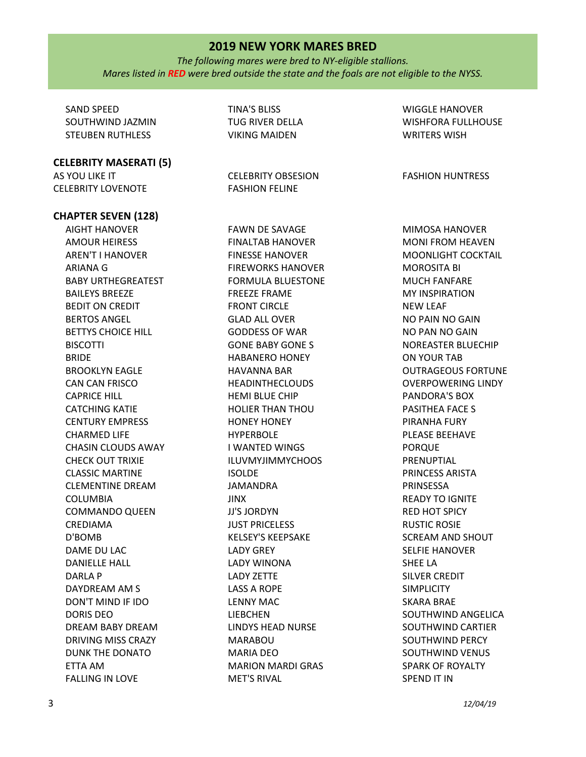*The following mares were bred to NY-eligible stallions. Mares listed in RED were bred outside the state and the foals are not eligible to the NYSS.*

SAND SPEED SOUTHWIND JAZMIN STEUBEN RUTHLESS

**CELEBRITY MASERATI (5)**

AS YOU LIKE IT CELEBRITY LOVENOTE

**CHAPTER SEVEN (128)** 

AIGHT HANOVER AMOUR HEIRESS AREN'T I HANOVER ARIANA G BABY URTHEGREATEST BAILEYS BREEZE BEDIT ON CREDIT BERTOS ANGEL BETTYS CHOICE HILL **BISCOTTI** BRIDE BROOKLYN EAGLE CAN CAN FRISCO CAPRICE HILL CATCHING KATIE CENTURY EMPRESS CHARMED LIFE CHASIN CLOUDS AWAY CHECK OUT TRIXIE CLASSIC MARTINE CLEMENTINE DREAM COLUMBIA COMMANDO QUEEN CREDIAMA D'BOMB DAME DU LAC DANIELLE HALL DARLA P DAYDREAM AM S DON'T MIND IF IDO DORIS DEO DREAM BABY DREAM DRIVING MISS CRAZY DUNK THE DONATO ETTA AM FALLING IN LOVE

TINA'S BLISS TUG RIVER DELLA VIKING MAIDEN

CELEBRITY OBSESION FASHION FELINE

FAWN DE SAVAGE FINALTAB HANOVER FINESSE HANOVER FIREWORKS HANOVER FORMULA BLUESTONE FREEZE FRAME FRONT CIRCLE GLAD ALL OVER GODDESS OF WAR GONE BABY GONE S HABANERO HONEY HAVANNA BAR HEADINTHECLOUDS HEMI BLUE CHIP HOLIER THAN THOU HONEY HONEY HYPERBOLE I WANTED WINGS ILUVMYJIMMYCHOOS ISOLDE JAMANDRA JINX JJ'S JORDYN JUST PRICELESS KELSEY'S KEEPSAKE LADY GREY LADY WINONA LADY ZETTE LASS A ROPE LENNY MAC LIEBCHEN LINDYS HEAD NURSE MARABOU MARIA DEO MARION MARDI GRAS MET'S RIVAL

WIGGLE HANOVER WISHFORA FULLHOUSE WRITERS WISH

FASHION HUNTRESS

MIMOSA HANOVER MONI FROM HEAVEN MOONLIGHT COCKTAIL MOROSITA BI MUCH FANFARE MY INSPIRATION NEW LEAF NO PAIN NO GAIN NO PAN NO GAIN NOREASTER BLUECHIP ON YOUR TAB OUTRAGEOUS FORTUNE OVERPOWERING LINDY PANDORA'S BOX PASITHEA FACE S PIRANHA FURY PLEASE BEEHAVE PORQUE PRENUPTIAL PRINCESS ARISTA PRINSESSA READY TO IGNITE RED HOT SPICY RUSTIC ROSIE SCREAM AND SHOUT SELFIE HANOVER SHEE LA SILVER CREDIT **SIMPLICITY** SKARA BRAE SOUTHWIND ANGELICA SOUTHWIND CARTIER SOUTHWIND PERCY SOUTHWIND VENUS SPARK OF ROYALTY SPEND IT IN

3 *12/04/19*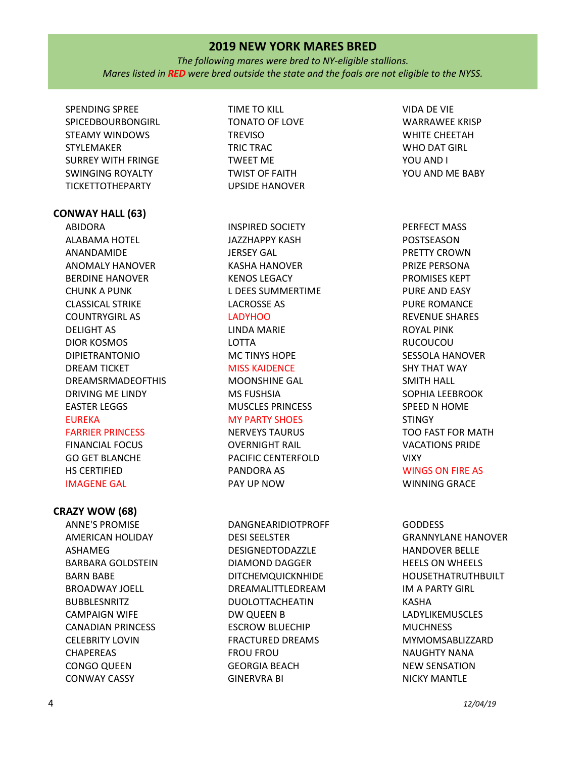*The following mares were bred to NY-eligible stallions. Mares listed in RED were bred outside the state and the foals are not eligible to the NYSS.*

SPENDING SPREE SPICEDBOURBONGIRL STEAMY WINDOWS STYLEMAKER SURREY WITH FRINGE SWINGING ROYALTY TICKETTOTHEPARTY

#### **CONWAY HALL (63)**

ABIDORA ALABAMA HOTEL ANANDAMIDE ANOMALY HANOVER BERDINE HANOVER CHUNK A PUNK CLASSICAL STRIKE COUNTRYGIRL AS DELIGHT AS DIOR KOSMOS DIPIETRANTONIO DREAM TICKET DREAMSRMADEOFTHIS DRIVING ME LINDY EASTER LEGGS EUREKA FARRIER PRINCESS

FINANCIAL FOCUS GO GET BLANCHE HS CERTIFIED IMAGENE GAL

### **CRAZY WOW (68)**

ANNE'S PROMISE AMERICAN HOLIDAY ASHAMEG BARBARA GOLDSTEIN BARN BABE BROADWAY JOELL BUBBLESNRITZ CAMPAIGN WIFE CANADIAN PRINCESS CELEBRITY LOVIN **CHAPEREAS** CONGO QUEEN CONWAY CASSY

TIME TO KILL TONATO OF LOVE **TREVISO** TRIC TRAC TWEET ME TWIST OF FAITH UPSIDE HANOVER

INSPIRED SOCIETY JAZZHAPPY KASH JERSEY GAL KASHA HANOVER KENOS LEGACY L DEES SUMMERTIME LACROSSE AS

# LADYHOO

LINDA MARIE LOTTA MC TINYS HOPE MISS KAIDENCE MOONSHINE GAL MS FUSHSIA MUSCLES PRINCESS

#### MY PARTY SHOES

NERVEYS TAURUS OVERNIGHT RAIL PACIFIC CENTERFOLD PANDORA AS PAY UP NOW

DANGNEARIDIOTPROFF DESI SEELSTER DESIGNEDTODAZZLE DIAMOND DAGGER DITCHEMQUICKNHIDE DREAMALITTLEDREAM DUOLOTTACHEATIN DW QUEEN B ESCROW BLUECHIP FRACTURED DREAMS FROU FROU GEORGIA BEACH GINERVRA BI

VIDA DE VIE WARRAWEE KRISP WHITE CHEETAH WHO DAT GIRL YOU AND I YOU AND ME BABY

PERFECT MASS POSTSEASON PRETTY CROWN PRIZE PERSONA PROMISES KEPT PURE AND EASY PURE ROMANCE REVENUE SHARES ROYAL PINK RUCOUCOU SESSOLA HANOVER SHY THAT WAY SMITH HALL SOPHIA LEEBROOK SPEED N HOME **STINGY** TOO FAST FOR MATH VACATIONS PRIDE VIXY WINGS ON FIRE AS

WINNING GRACE

**GODDESS** GRANNYLANE HANOVER HANDOVER BELLE HEELS ON WHEELS HOUSETHATRUTHBUILT IM A PARTY GIRL KASHA LADYLIKEMUSCLES **MUCHNESS** MYMOMSABLIZZARD NAUGHTY NANA NEW SENSATION NICKY MANTLE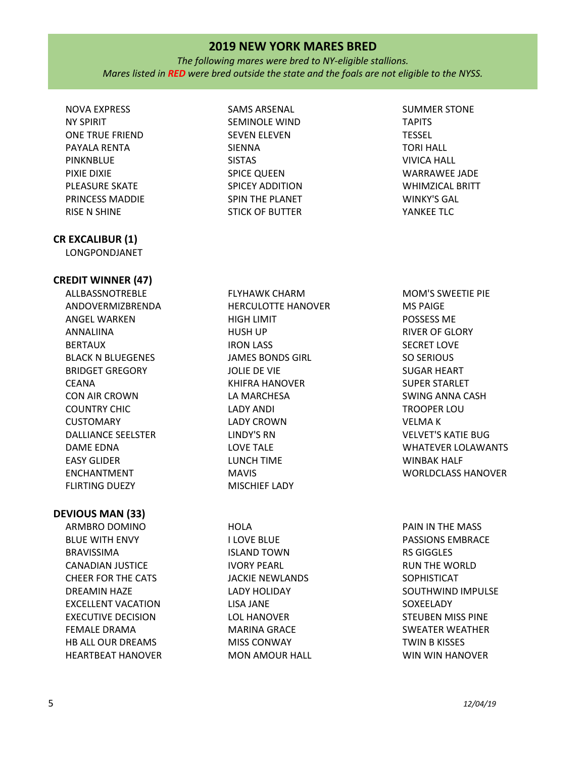*The following mares were bred to NY-eligible stallions. Mares listed in RED were bred outside the state and the foals are not eligible to the NYSS.*

NOVA EXPRESS NY SPIRIT ONE TRUE FRIEND PAYALA RENTA PINKNBLUE PIXIE DIXIE PLEASURE SKATE PRINCESS MADDIE RISE N SHINE

# **CR EXCALIBUR (1)**

LONGPONDJANET

## **CREDIT WINNER (47)**

ALLBASSNOTREBLE ANDOVERMIZBRENDA ANGEL WARKEN ANNALIINA BERTAUX BLACK N BLUEGENES BRIDGET GREGORY CEANA CON AIR CROWN COUNTRY CHIC CUSTOMARY DALLIANCE SEELSTER DAME EDNA EASY GLIDER ENCHANTMENT FLIRTING DUEZY

### **DEVIOUS MAN (33)**

ARMBRO DOMINO BLUE WITH ENVY BRAVISSIMA CANADIAN JUSTICE CHEER FOR THE CATS DREAMIN HAZE EXCELLENT VACATION EXECUTIVE DECISION FEMALE DRAMA HB ALL OUR DREAMS HEARTBEAT HANOVER SAMS ARSENAL SEMINOLE WIND SEVEN ELEVEN SIENNA SISTAS SPICE QUEEN SPICEY ADDITION SPIN THE PLANET STICK OF BUTTER

SUMMER STONE TAPITS TESSEL TORI HALL VIVICA HALL WARRAWEE JADE WHIMZICAL BRITT WINKY'S GAL YANKEE TLC

FLYHAWK CHARM HERCULOTTE HANOVER HIGH LIMIT HUSH UP IRON LASS JAMES BONDS GIRL JOLIE DE VIE KHIFRA HANOVER LA MARCHESA LADY ANDI LADY CROWN LINDY'S RN LOVE TALE LUNCH TIME MAVIS MISCHIEF LADY

**HOLA** I LOVE BLUE ISLAND TOWN IVORY PEARL JACKIE NEWLANDS LADY HOLIDAY LISA JANE LOL HANOVER MARINA GRACE MISS CONWAY MON AMOUR HALL

MOM'S SWEETIE PIE MS PAIGE POSSESS ME RIVER OF GLORY SECRET LOVE SO SERIOUS SUGAR HEART SUPER STARLET SWING ANNA CASH TROOPER LOU VELMA K VELVET'S KATIE BUG WHATEVER LOLAWANTS WINBAK HALF WORLDCLASS HANOVER

PAIN IN THE MASS PASSIONS EMBRACE RS GIGGLES RUN THE WORLD SOPHISTICAT SOUTHWIND IMPULSE SOXEELADY STEUBEN MISS PINE SWEATER WEATHER TWIN B KISSES WIN WIN HANOVER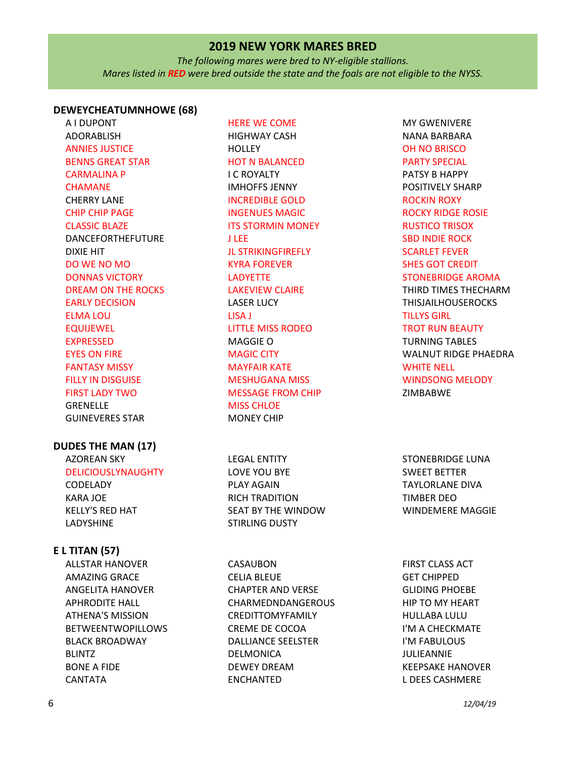*The following mares were bred to NY-eligible stallions. Mares listed in RED were bred outside the state and the foals are not eligible to the NYSS.*

### **DEWEYCHEATUMNHOWE (68)**

A I DUPONT ADORABLISH ANNIES JUSTICE BENNS GREAT STAR CARMALINA P CHAMANE CHERRY LANE CHIP CHIP PAGE CLASSIC BLAZE DANCEFORTHEFUTURE DIXIE HIT DO WE NO MO DONNAS VICTORY DREAM ON THE ROCKS EARLY DECISION ELMA LOU EQUIJEWEL EXPRESSED EYES ON FIRE FANTASY MISSY FILLY IN DISGUISE FIRST LADY TWO GRENELLE GUINEVERES STAR

#### **DUDES THE MAN (17)**

AZOREAN SKY DELICIOUSLYNAUGHTY CODELADY KARA JOE KELLY'S RED HAT LADYSHINE

#### **E L TITAN (57)**

ALLSTAR HANOVER AMAZING GRACE ANGELITA HANOVER APHRODITE HALL ATHENA'S MISSION BETWEENTWOPILLOWS BLACK BROADWAY BLINTZ BONE A FIDE CANTATA

HERE WE COME HIGHWAY CASH **HOLLEY** HOT N BALANCED I C ROYALTY IMHOFFS JENNY INCREDIBLE GOLD INGENUES MAGIC **ITS STORMIN MONEY** J LEE JL STRIKINGFIREFLY KYRA FOREVER LADYETTE LAKEVIEW CLAIRE LASER LUCY LISA J LITTLE MISS RODEO MAGGIE O MAGIC CITY MAYFAIR KATE MESHUGANA MISS MESSAGE FROM CHIP MISS CHLOE MONEY CHIP

LEGAL ENTITY LOVE YOU BYE PLAY AGAIN RICH TRADITION SEAT BY THE WINDOW STIRLING DUSTY

CASAUBON CELIA BLEUE CHAPTER AND VERSE CHARMEDNDANGEROUS CREDITTOMYFAMILY CREME DE COCOA DALLIANCE SEELSTER DELMONICA DEWEY DREAM ENCHANTED

MY GWENIVERE NANA BARBARA OH NO BRISCO PARTY SPECIAL PATSY B HAPPY POSITIVELY SHARP ROCKIN ROXY ROCKY RIDGE ROSIE RUSTICO TRISOX SBD INDIE ROCK SCARLET FEVER SHES GOT CREDIT STONEBRIDGE AROMA THIRD TIMES THECHARM THISJAILHOUSEROCKS TILLYS GIRL TROT RUN BEAUTY TURNING TABLES WALNUT RIDGE PHAEDRA WHITE NELL WINDSONG MELODY ZIMBABWE

STONEBRIDGE LUNA SWEET BETTER TAYLORLANE DIVA TIMBER DEO WINDEMERE MAGGIE

FIRST CLASS ACT GET CHIPPED GLIDING PHOEBE HIP TO MY HEART HULLABA LULU I'M A CHECKMATE I'M FABULOUS JULIEANNIE KEEPSAKE HANOVER L DEES CASHMERE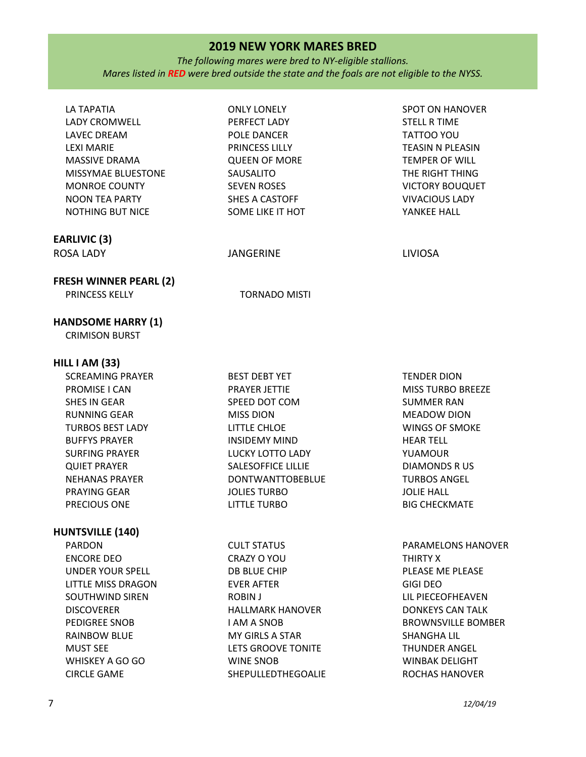*The following mares were bred to NY-eligible stallions. Mares listed in RED were bred outside the state and the foals are not eligible to the NYSS.*

| LA TAPATIA<br>LADY CROMWELL<br><b>LAVEC DREAM</b><br><b>LEXI MARIE</b><br>MASSIVE DRAMA<br>MISSYMAE BLUESTONE<br><b>MONROE COUNTY</b><br>NOON TEA PARTY<br>NOTHING BUT NICE | <b>ONLY LONELY</b><br>PERFECT LADY<br>POLE DANCER<br>PRINCESS LILLY<br><b>QUEEN OF MORE</b><br>SAUSALITO<br><b>SEVEN ROSES</b><br>SHES A CASTOFF<br>SOME LIKE IT HOT | <b>SPOT ON HANOVER</b><br><b>STELL R TIME</b><br>TATTOO YOU<br><b>TEASIN N PLEASIN</b><br>TEMPER OF WILL<br>THE RIGHT THING<br><b>VICTORY BOUQUET</b><br><b>VIVACIOUS LADY</b><br>YANKEE HALL |
|-----------------------------------------------------------------------------------------------------------------------------------------------------------------------------|----------------------------------------------------------------------------------------------------------------------------------------------------------------------|-----------------------------------------------------------------------------------------------------------------------------------------------------------------------------------------------|
| <b>EARLIVIC (3)</b>                                                                                                                                                         |                                                                                                                                                                      |                                                                                                                                                                                               |
| <b>ROSA LADY</b>                                                                                                                                                            | <b>JANGERINE</b>                                                                                                                                                     | <b>LIVIOSA</b>                                                                                                                                                                                |
| <b>FRESH WINNER PEARL (2)</b>                                                                                                                                               |                                                                                                                                                                      |                                                                                                                                                                                               |
| PRINCESS KELLY                                                                                                                                                              | <b>TORNADO MISTI</b>                                                                                                                                                 |                                                                                                                                                                                               |
| <b>HANDSOME HARRY (1)</b><br><b>CRIMISON BURST</b>                                                                                                                          |                                                                                                                                                                      |                                                                                                                                                                                               |
| HILL I AM (33)                                                                                                                                                              |                                                                                                                                                                      |                                                                                                                                                                                               |
| <b>SCREAMING PRAYER</b>                                                                                                                                                     | <b>BEST DEBT YET</b>                                                                                                                                                 | <b>TENDER DION</b>                                                                                                                                                                            |
| PROMISE I CAN                                                                                                                                                               | PRAYER JETTIE                                                                                                                                                        | <b>MISS TURBO BREEZE</b>                                                                                                                                                                      |
| SHES IN GEAR                                                                                                                                                                | SPEED DOT COM                                                                                                                                                        | <b>SUMMER RAN</b>                                                                                                                                                                             |
| <b>RUNNING GEAR</b>                                                                                                                                                         | <b>MISS DION</b>                                                                                                                                                     | <b>MEADOW DION</b>                                                                                                                                                                            |
| TURBOS BEST LADY                                                                                                                                                            | LITTLE CHLOE                                                                                                                                                         | <b>WINGS OF SMOKE</b>                                                                                                                                                                         |
| <b>BUFFYS PRAYER</b>                                                                                                                                                        | INSIDEMY MIND                                                                                                                                                        | <b>HEAR TELL</b>                                                                                                                                                                              |
| <b>SURFING PRAYER</b>                                                                                                                                                       | LUCKY LOTTO LADY                                                                                                                                                     | YUAMOUR                                                                                                                                                                                       |
| <b>QUIET PRAYER</b>                                                                                                                                                         | SALESOFFICE LILLIE                                                                                                                                                   | <b>DIAMONDS RUS</b>                                                                                                                                                                           |
| <b>NEHANAS PRAYER</b>                                                                                                                                                       | <b>DONTWANTTOBEBLUE</b>                                                                                                                                              | <b>TURBOS ANGEL</b>                                                                                                                                                                           |
| PRAYING GEAR                                                                                                                                                                | <b>JOLIES TURBO</b>                                                                                                                                                  | <b>JOLIE HALL</b>                                                                                                                                                                             |
| PRECIOUS ONE                                                                                                                                                                | <b>LITTLE TURBO</b>                                                                                                                                                  | <b>BIG CHECKMATE</b>                                                                                                                                                                          |
| <b>HUNTSVILLE (140)</b>                                                                                                                                                     |                                                                                                                                                                      |                                                                                                                                                                                               |
| <b>PARDON</b>                                                                                                                                                               | <b>CULT STATUS</b>                                                                                                                                                   | PARAMELONS HANOVER                                                                                                                                                                            |
| <b>ENCORE DEO</b>                                                                                                                                                           | CRAZY O YOU                                                                                                                                                          | THIRTY X                                                                                                                                                                                      |
| <b>UNDER YOUR SPELL</b>                                                                                                                                                     | DB BLUE CHIP                                                                                                                                                         | PLEASE ME PLEASE                                                                                                                                                                              |
| LITTLE MISS DRAGON                                                                                                                                                          | <b>EVER AFTER</b>                                                                                                                                                    | <b>GIGI DEO</b>                                                                                                                                                                               |
| SOUTHWIND SIREN                                                                                                                                                             | ROBIN J                                                                                                                                                              | LIL PIECEOFHEAVEN                                                                                                                                                                             |
| <b>DISCOVERER</b>                                                                                                                                                           | <b>HALLMARK HANOVER</b>                                                                                                                                              | <b>DONKEYS CAN TALK</b>                                                                                                                                                                       |
| PEDIGREE SNOB                                                                                                                                                               | <b>I AM A SNOB</b>                                                                                                                                                   | <b>BROWNSVILLE BOMBER</b>                                                                                                                                                                     |
| <b>RAINBOW BLUE</b>                                                                                                                                                         | MY GIRLS A STAR                                                                                                                                                      | <b>SHANGHA LIL</b>                                                                                                                                                                            |
| <b>MUST SEE</b>                                                                                                                                                             | LETS GROOVE TONITE                                                                                                                                                   | <b>THUNDER ANGEL</b>                                                                                                                                                                          |
| WHISKEY A GO GO                                                                                                                                                             | <b>WINE SNOB</b>                                                                                                                                                     | <b>WINBAK DELIGHT</b>                                                                                                                                                                         |

SHEPULLEDTHEGOALIE

ROCHAS HANOVER

CIRCLE GAME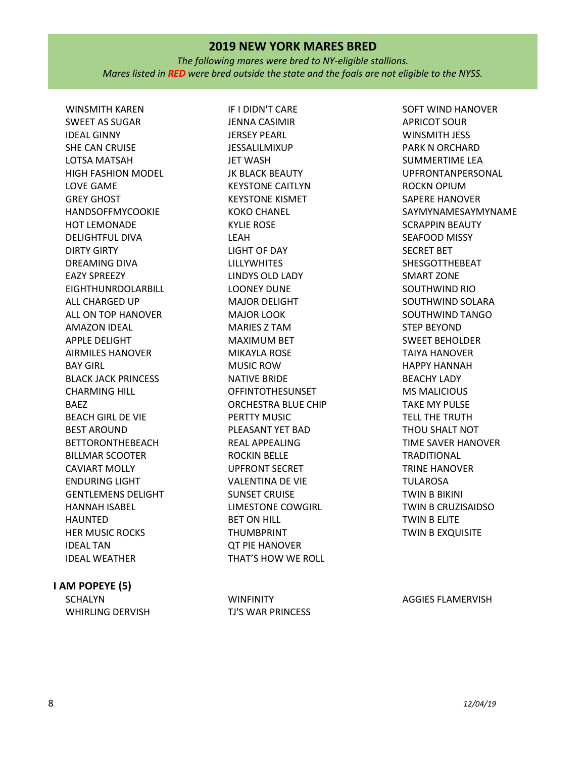*The following mares were bred to NY-eligible stallions. Mares listed in RED were bred outside the state and the foals are not eligible to the NYSS.*

WINSMITH KAREN SWEET AS SUGAR IDEAL GINNY SHE CAN CRUISE LOTSA MATSAH HIGH FASHION MODEL LOVE GAME GREY GHOST HANDSOFFMYCOOKIE HOT LEMONADE DELIGHTFUL DIVA DIRTY GIRTY DREAMING DIVA EAZY SPREEZY EIGHTHUNRDOLARBILL ALL CHARGED UP ALL ON TOP HANOVER AMAZON IDEAL APPLE DELIGHT AIRMILES HANOVER BAY GIRL BLACK JACK PRINCESS CHARMING HILL BAEZ BEACH GIRL DE VIE BEST AROUND BETTORONTHEBEACH BILLMAR SCOOTER CAVIART MOLLY ENDURING LIGHT GENTLEMENS DELIGHT HANNAH ISABEL HAUNTED HER MUSIC ROCKS IDEAL TAN IDEAL WEATHER

### **I AM POPEYE (5)**

**SCHALYN** WHIRLING DERVISH

IF I DIDN'T CARE JENNA CASIMIR JERSEY PEARL JESSALILMIXUP JET WASH JK BLACK BEAUTY KEYSTONE CAITLYN KEYSTONE KISMET KOKO CHANEL KYLIE ROSE LEAH LIGHT OF DAY LILLYWHITES LINDYS OLD LADY LOONEY DUNE MAJOR DELIGHT MAJOR LOOK MARIES Z TAM MAXIMUM BET MIKAYLA ROSE MUSIC ROW NATIVE BRIDE **OFFINTOTHESUNSET** ORCHESTRA BLUE CHIP PERTTY MUSIC PLEASANT YET BAD REAL APPEALING ROCKIN BELLE UPFRONT SECRET VALENTINA DE VIE SUNSET CRUISE LIMESTONE COWGIRL BET ON HILL THUMBPRINT QT PIE HANOVER THAT'S HOW WE ROLL

SOFT WIND HANOVER APRICOT SOUR WINSMITH JESS PARK N ORCHARD SUMMERTIME LEA UPFRONTANPERSONAL ROCKN OPIUM SAPERE HANOVER SAYMYNAMESAYMYNAME SCRAPPIN BEAUTY SEAFOOD MISSY SECRET BET SHESGOTTHEBEAT SMART ZONE SOUTHWIND RIO SOUTHWIND SOLARA SOUTHWIND TANGO STEP BEYOND SWEET BEHOLDER TAIYA HANOVER HAPPY HANNAH BEACHY LADY MS MALICIOUS TAKE MY PULSE TELL THE TRUTH THOU SHALT NOT TIME SAVER HANOVER TRADITIONAL TRINE HANOVER TULAROSA TWIN B BIKINI TWIN B CRUZISAIDSO TWIN B ELITE TWIN B EXQUISITE

**WINFINITY** TJ'S WAR PRINCESS

AGGIES FLAMERVISH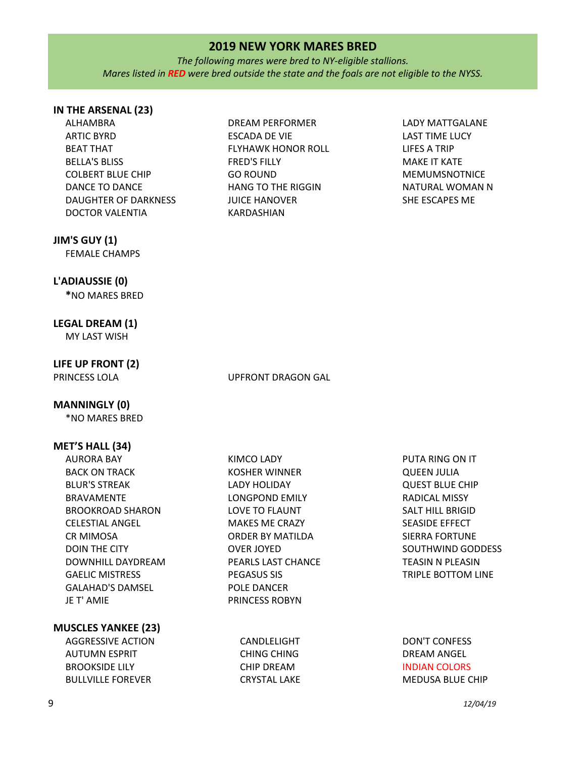*The following mares were bred to NY-eligible stallions. Mares listed in RED were bred outside the state and the foals are not eligible to the NYSS.*

## **IN THE ARSENAL (23)**

- ALHAMBRA ARTIC BYRD BEAT THAT BELLA'S BLISS COLBERT BLUE CHIP DANCE TO DANCE DAUGHTER OF DARKNESS DOCTOR VALENTIA
- DREAM PERFORMER ESCADA DE VIE FLYHAWK HONOR ROLL FRED'S FILLY GO ROUND HANG TO THE RIGGIN JUICE HANOVER KARDASHIAN
- LADY MATTGALANE LAST TIME LUCY LIFES A TRIP MAKE IT KATE MEMUMSNOTNICE NATURAL WOMAN N SHE ESCAPES ME

## **JIM'S GUY (1)**

FEMALE CHAMPS

#### **L'ADIAUSSIE (0)**

**\***NO MARES BRED

## **LEGAL DREAM (1)**

MY LAST WISH

# **LIFE UP FRONT (2)**

#### PRINCESS LOLA UPFRONT DRAGON GAL

KIMCO LADY KOSHER WINNER LADY HOLIDAY LONGPOND EMILY LOVE TO FLAUNT MAKES ME CRAZY ORDER BY MATILDA

OVER JOYED

PEGASUS SIS POLE DANCER PRINCESS ROBYN

PEARLS LAST CHANCE

#### **MANNINGLY (0)**

\*NO MARES BRED

### **MET'S HALL (34)**

AURORA BAY BACK ON TRACK BLUR'S STREAK BRAVAMENTE BROOKROAD SHARON CELESTIAL ANGEL CR MIMOSA DOIN THE CITY DOWNHILL DAYDREAM GAELIC MISTRESS GALAHAD'S DAMSEL JE T' AMIE

#### **MUSCLES YANKEE (23)** AGGRESSIVE ACTION

AUTUMN ESPRIT BROOKSIDE LILY BULLVILLE FOREVER

CANDLELIGHT CHING CHING CHIP DREAM CRYSTAL LAKE

PUTA RING ON IT QUEEN JULIA QUEST BLUE CHIP RADICAL MISSY SALT HILL BRIGID SEASIDE EFFECT SIERRA FORTUNE SOUTHWIND GODDESS TEASIN N PLEASIN TRIPLE BOTTOM LINE

## DON'T CONFESS DREAM ANGEL INDIAN COLORS MEDUSA BLUE CHIP

#### 9 *12/04/19*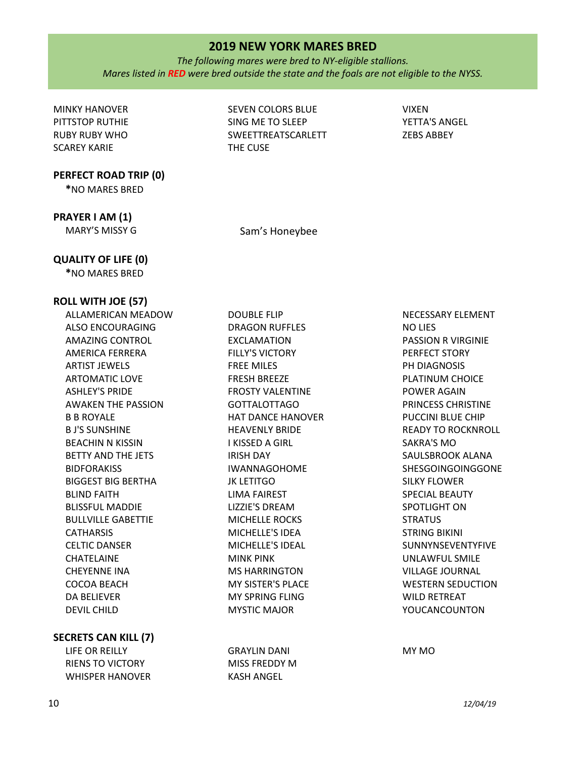*The following mares were bred to NY-eligible stallions. Mares listed in RED were bred outside the state and the foals are not eligible to the NYSS.*

MINKY HANOVER PITTSTOP RUTHIE RUBY RUBY WHO SCAREY KARIE

**PERFECT ROAD TRIP (0)**

**\***NO MARES BRED

**PRAYER I AM (1)**

SEVEN COLORS BLUE SING ME TO SLEEP SWEETTREATSCARLETT THE CUSE

VIXEN YETTA'S ANGEL ZEBS ABBEY

MARY'S MISSY G Sam's Honeybee

## **QUALITY OF LIFE (0)**

**\***NO MARES BRED

## **ROLL WITH JOE (57)**

ALLAMERICAN MEADOW ALSO ENCOURAGING AMAZING CONTROL AMERICA FERRERA ARTIST JEWELS ARTOMATIC LOVE ASHLEY'S PRIDE AWAKEN THE PASSION B B ROYALE B J'S SUNSHINE BEACHIN N KISSIN BETTY AND THE JETS **BIDFORAKISS** BIGGEST BIG BERTHA BLIND FAITH BLISSFUL MADDIE BULLVILLE GABETTIE **CATHARSIS** CELTIC DANSER CHATELAINE CHEYENNE INA COCOA BEACH DA BELIEVER DEVIL CHILD

**SECRETS CAN KILL (7)**

LIFE OR REILLY RIENS TO VICTORY WHISPER HANOVER

DOUBLE FLIP DRAGON RUFFLES EXCLAMATION FILLY'S VICTORY FREE MILES FRESH BREEZE FROSTY VALENTINE GOTTALOTTAGO HAT DANCE HANOVER HEAVENLY BRIDE I KISSED A GIRL IRISH DAY IWANNAGOHOME JK LETITGO LIMA FAIREST LIZZIE'S DREAM MICHELLE ROCKS MICHELLE'S IDEA MICHELLE'S IDEAL MINK PINK MS HARRINGTON MY SISTER'S PLACE MY SPRING FLING MYSTIC MAJOR

GRAYLIN DANI MISS FREDDY M KASH ANGEL

NECESSARY ELEMENT NO LIES PASSION R VIRGINIE PERFECT STORY PH DIAGNOSIS PLATINUM CHOICE POWER AGAIN PRINCESS CHRISTINE PUCCINI BLUE CHIP READY TO ROCKNROLL SAKRA'S MO SAULSBROOK ALANA SHESGOINGOINGGONE SILKY FLOWER SPECIAL BEAUTY SPOTLIGHT ON **STRATUS** STRING BIKINI SUNNYNSEVENTYFIVE UNLAWFUL SMILE VILLAGE JOURNAL WESTERN SEDUCTION WILD RETREAT YOUCANCOUNTON

MY MO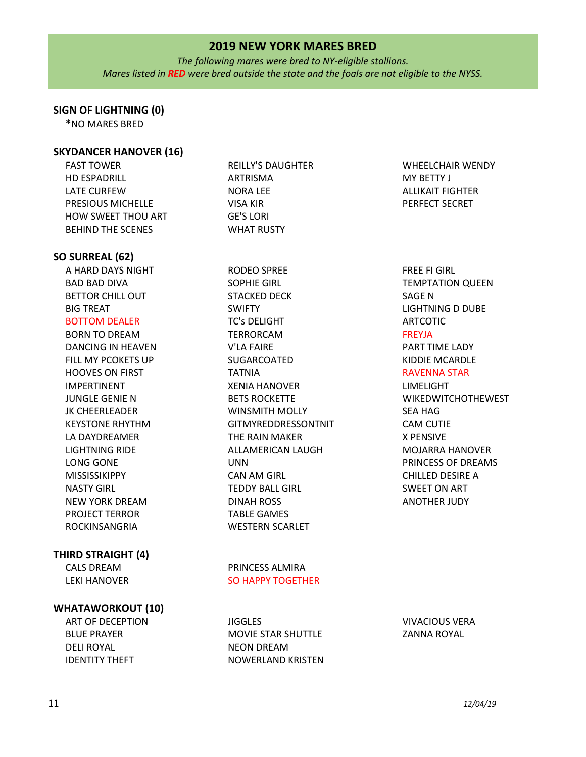*The following mares were bred to NY-eligible stallions. Mares listed in RED were bred outside the state and the foals are not eligible to the NYSS.*

## **SIGN OF LIGHTNING (0)**

**\***NO MARES BRED

## **SKYDANCER HANOVER (16)**

FAST TOWER HD ESPADRILL LATE CURFEW PRESIOUS MICHELLE HOW SWEET THOU ART BEHIND THE SCENES REILLY'S DAUGHTER ARTRISMA NORA LEE VISA KIR GE'S LORI WHAT RUSTY

## **SO SURREAL (62)**

A HARD DAYS NIGHT BAD BAD DIVA BETTOR CHILL OUT BIG TREAT BOTTOM DEALER

BORN TO DREAM DANCING IN HEAVEN FILL MY PCOKETS UP HOOVES ON FIRST IMPERTINENT JUNGLE GENIE N JK CHEERLEADER KEYSTONE RHYTHM LA DAYDREAMER LIGHTNING RIDE LONG GONE MISSISSIKIPPY NASTY GIRL NEW YORK DREAM PROJECT TERROR ROCKINSANGRIA

## **THIRD STRAIGHT (4)**

CALS DREAM LEKI HANOVER

## **WHATAWORKOUT (10)**

ART OF DECEPTION BLUE PRAYER DELI ROYAL IDENTITY THEFT

RODEO SPREE SOPHIE GIRL STACKED DECK SWIFTY TC's DELIGHT TERRORCAM V'LA FAIRE SUGARCOATED TATNIA XENIA HANOVER BETS ROCKETTE WINSMITH MOLLY GITMYREDDRESSONTNIT THE RAIN MAKER ALLAMERICAN LAUGH UNN CAN AM GIRL TEDDY BALL GIRL DINAH ROSS TABLE GAMES WESTERN SCARLET

PRINCESS ALMIRA SO HAPPY TOGETHER

**JIGGLES** MOVIE STAR SHUTTLE NEON DREAM NOWERLAND KRISTEN WHEELCHAIR WENDY MY BETTY J ALLIKAIT FIGHTER PERFECT SECRET

FREE FI GIRL TEMPTATION QUEEN SAGE N LIGHTNING D DUBE ARTCOTIC FREYJA PART TIME LADY KIDDIE MCARDLE RAVENNA STAR LIMELIGHT WIKEDWITCHOTHEWEST SEA HAG CAM CUTIE X PENSIVE MOJARRA HANOVER PRINCESS OF DREAMS CHILLED DESIRE A SWEET ON ART ANOTHER JUDY

VIVACIOUS VERA ZANNA ROYAL